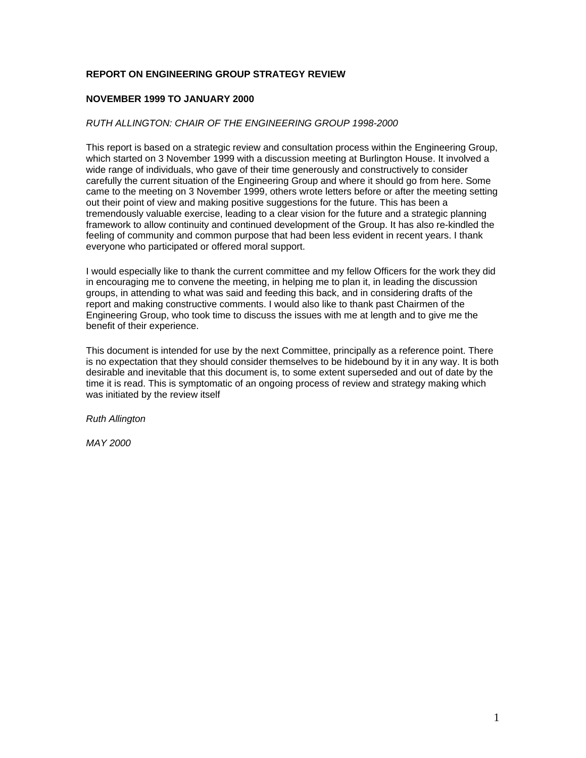# **REPORT ON ENGINEERING GROUP STRATEGY REVIEW**

## **NOVEMBER 1999 TO JANUARY 2000**

### *RUTH ALLINGTON: CHAIR OF THE ENGINEERING GROUP 1998-2000*

This report is based on a strategic review and consultation process within the Engineering Group, which started on 3 November 1999 with a discussion meeting at Burlington House. It involved a wide range of individuals, who gave of their time generously and constructively to consider carefully the current situation of the Engineering Group and where it should go from here. Some came to the meeting on 3 November 1999, others wrote letters before or after the meeting setting out their point of view and making positive suggestions for the future. This has been a tremendously valuable exercise, leading to a clear vision for the future and a strategic planning framework to allow continuity and continued development of the Group. It has also re-kindled the feeling of community and common purpose that had been less evident in recent years. I thank everyone who participated or offered moral support.

I would especially like to thank the current committee and my fellow Officers for the work they did in encouraging me to convene the meeting, in helping me to plan it, in leading the discussion groups, in attending to what was said and feeding this back, and in considering drafts of the report and making constructive comments. I would also like to thank past Chairmen of the Engineering Group, who took time to discuss the issues with me at length and to give me the benefit of their experience.

This document is intended for use by the next Committee, principally as a reference point. There is no expectation that they should consider themselves to be hidebound by it in any way. It is both desirable and inevitable that this document is, to some extent superseded and out of date by the time it is read. This is symptomatic of an ongoing process of review and strategy making which was initiated by the review itself

*Ruth Allington*

*MAY 2000*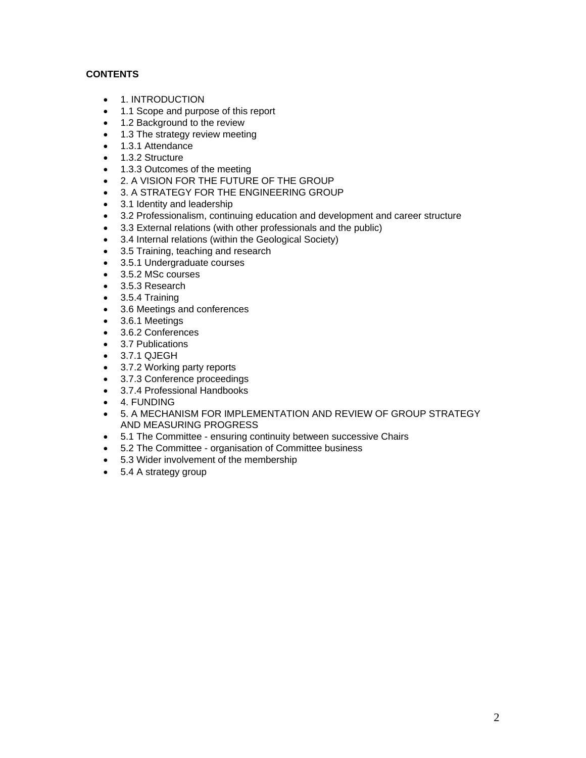# **CONTENTS**

- 1. INTRODUCTION
- 1.1 Scope and purpose of this report
- 1.2 Background to the review
- 1.3 The strategy review meeting
- 1.3.1 Attendance
- 1.3.2 Structure
- 1.3.3 Outcomes of the meeting
- 2. A VISION FOR THE FUTURE OF THE GROUP
- 3. A STRATEGY FOR THE ENGINEERING GROUP
- 3.1 Identity and leadership
- 3.2 Professionalism, continuing education and development and career structure
- 3.3 External relations (with other professionals and the public)
- 3.4 Internal relations (within the Geological Society)
- 3.5 Training, teaching and research
- 3.5.1 Undergraduate courses
- 3.5.2 MSc courses
- 3.5.3 Research
- 3.5.4 Training
- 3.6 Meetings and conferences
- 3.6.1 Meetings
- 3.6.2 Conferences
- 3.7 Publications
- 3.7.1 QJEGH
- 3.7.2 Working party reports
- 3.7.3 Conference proceedings
- 3.7.4 Professional Handbooks
- 4. FUNDING
- 5. A MECHANISM FOR IMPLEMENTATION AND REVIEW OF GROUP STRATEGY AND MEASURING PROGRESS
- 5.1 The Committee ensuring continuity between successive Chairs
- 5.2 The Committee organisation of Committee business
- 5.3 Wider involvement of the membership
- 5.4 A strategy group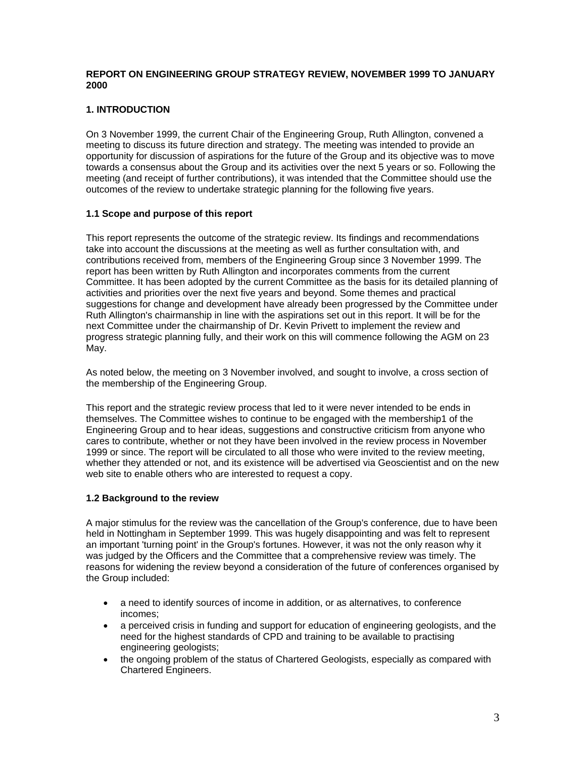# **REPORT ON ENGINEERING GROUP STRATEGY REVIEW, NOVEMBER 1999 TO JANUARY 2000**

# **1. INTRODUCTION**

On 3 November 1999, the current Chair of the Engineering Group, Ruth Allington, convened a meeting to discuss its future direction and strategy. The meeting was intended to provide an opportunity for discussion of aspirations for the future of the Group and its objective was to move towards a consensus about the Group and its activities over the next 5 years or so. Following the meeting (and receipt of further contributions), it was intended that the Committee should use the outcomes of the review to undertake strategic planning for the following five years.

# **1.1 Scope and purpose of this report**

This report represents the outcome of the strategic review. Its findings and recommendations take into account the discussions at the meeting as well as further consultation with, and contributions received from, members of the Engineering Group since 3 November 1999. The report has been written by Ruth Allington and incorporates comments from the current Committee. It has been adopted by the current Committee as the basis for its detailed planning of activities and priorities over the next five years and beyond. Some themes and practical suggestions for change and development have already been progressed by the Committee under Ruth Allington's chairmanship in line with the aspirations set out in this report. It will be for the next Committee under the chairmanship of Dr. Kevin Privett to implement the review and progress strategic planning fully, and their work on this will commence following the AGM on 23 May.

As noted below, the meeting on 3 November involved, and sought to involve, a cross section of the membership of the Engineering Group.

This report and the strategic review process that led to it were never intended to be ends in themselves. The Committee wishes to continue to be engaged with the membership1 of the Engineering Group and to hear ideas, suggestions and constructive criticism from anyone who cares to contribute, whether or not they have been involved in the review process in November 1999 or since. The report will be circulated to all those who were invited to the review meeting, whether they attended or not, and its existence will be advertised via Geoscientist and on the new web site to enable others who are interested to request a copy.

# **1.2 Background to the review**

A major stimulus for the review was the cancellation of the Group's conference, due to have been held in Nottingham in September 1999. This was hugely disappointing and was felt to represent an important 'turning point' in the Group's fortunes. However, it was not the only reason why it was judged by the Officers and the Committee that a comprehensive review was timely. The reasons for widening the review beyond a consideration of the future of conferences organised by the Group included:

- a need to identify sources of income in addition, or as alternatives, to conference incomes;
- a perceived crisis in funding and support for education of engineering geologists, and the need for the highest standards of CPD and training to be available to practising engineering geologists;
- the ongoing problem of the status of Chartered Geologists, especially as compared with Chartered Engineers.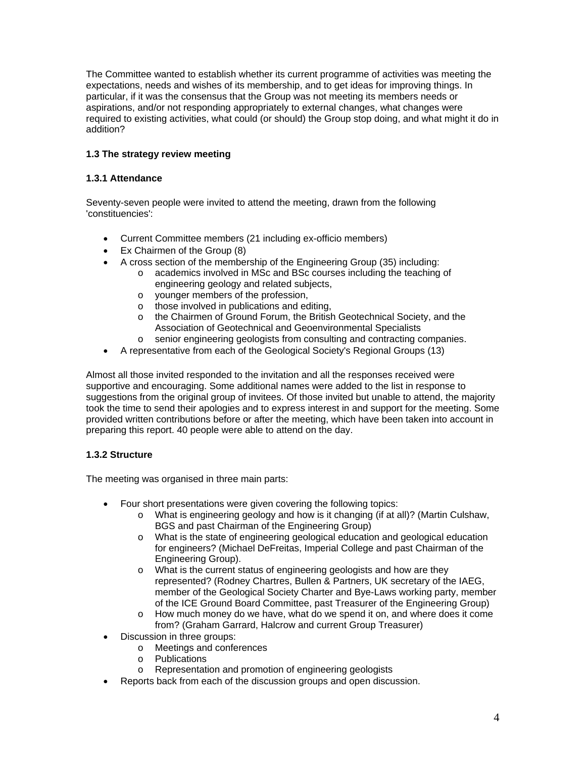The Committee wanted to establish whether its current programme of activities was meeting the expectations, needs and wishes of its membership, and to get ideas for improving things. In particular, if it was the consensus that the Group was not meeting its members needs or aspirations, and/or not responding appropriately to external changes, what changes were required to existing activities, what could (or should) the Group stop doing, and what might it do in addition?

# **1.3 The strategy review meeting**

# **1.3.1 Attendance**

Seventy-seven people were invited to attend the meeting, drawn from the following 'constituencies':

- Current Committee members (21 including ex-officio members)
- Ex Chairmen of the Group (8)
- A cross section of the membership of the Engineering Group (35) including:
	- o academics involved in MSc and BSc courses including the teaching of engineering geology and related subjects,
	- o younger members of the profession,
	- o those involved in publications and editing,
	- o the Chairmen of Ground Forum, the British Geotechnical Society, and the Association of Geotechnical and Geoenvironmental Specialists
	- o senior engineering geologists from consulting and contracting companies.
- A representative from each of the Geological Society's Regional Groups (13)

Almost all those invited responded to the invitation and all the responses received were supportive and encouraging. Some additional names were added to the list in response to suggestions from the original group of invitees. Of those invited but unable to attend, the majority took the time to send their apologies and to express interest in and support for the meeting. Some provided written contributions before or after the meeting, which have been taken into account in preparing this report. 40 people were able to attend on the day.

# **1.3.2 Structure**

The meeting was organised in three main parts:

- Four short presentations were given covering the following topics:
	- o What is engineering geology and how is it changing (if at all)? (Martin Culshaw, BGS and past Chairman of the Engineering Group)
	- o What is the state of engineering geological education and geological education for engineers? (Michael DeFreitas, Imperial College and past Chairman of the Engineering Group).
	- o What is the current status of engineering geologists and how are they represented? (Rodney Chartres, Bullen & Partners, UK secretary of the IAEG, member of the Geological Society Charter and Bye-Laws working party, member of the ICE Ground Board Committee, past Treasurer of the Engineering Group)
	- o How much money do we have, what do we spend it on, and where does it come from? (Graham Garrard, Halcrow and current Group Treasurer)
- Discussion in three groups:
	- o Meetings and conferences
	- o Publications
	- o Representation and promotion of engineering geologists
- Reports back from each of the discussion groups and open discussion.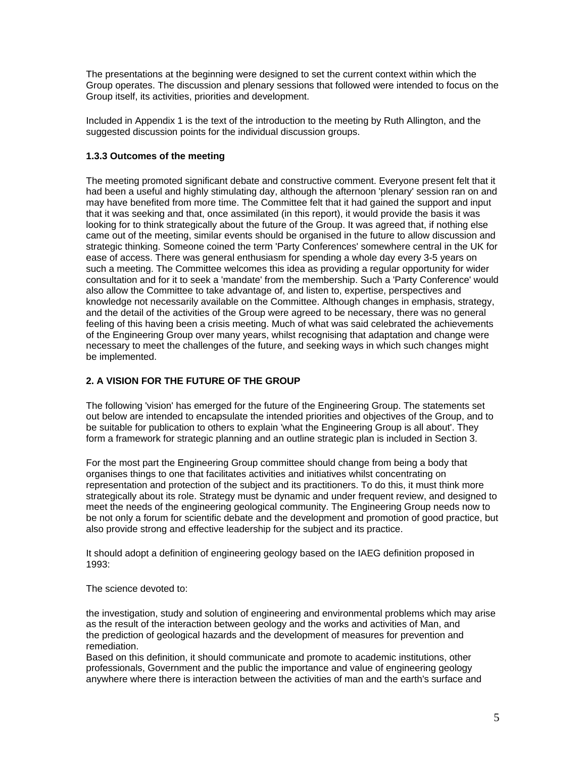The presentations at the beginning were designed to set the current context within which the Group operates. The discussion and plenary sessions that followed were intended to focus on the Group itself, its activities, priorities and development.

Included in Appendix 1 is the text of the introduction to the meeting by Ruth Allington, and the suggested discussion points for the individual discussion groups.

## **1.3.3 Outcomes of the meeting**

The meeting promoted significant debate and constructive comment. Everyone present felt that it had been a useful and highly stimulating day, although the afternoon 'plenary' session ran on and may have benefited from more time. The Committee felt that it had gained the support and input that it was seeking and that, once assimilated (in this report), it would provide the basis it was looking for to think strategically about the future of the Group. It was agreed that, if nothing else came out of the meeting, similar events should be organised in the future to allow discussion and strategic thinking. Someone coined the term 'Party Conferences' somewhere central in the UK for ease of access. There was general enthusiasm for spending a whole day every 3-5 years on such a meeting. The Committee welcomes this idea as providing a regular opportunity for wider consultation and for it to seek a 'mandate' from the membership. Such a 'Party Conference' would also allow the Committee to take advantage of, and listen to, expertise, perspectives and knowledge not necessarily available on the Committee. Although changes in emphasis, strategy, and the detail of the activities of the Group were agreed to be necessary, there was no general feeling of this having been a crisis meeting. Much of what was said celebrated the achievements of the Engineering Group over many years, whilst recognising that adaptation and change were necessary to meet the challenges of the future, and seeking ways in which such changes might be implemented.

# **2. A VISION FOR THE FUTURE OF THE GROUP**

The following 'vision' has emerged for the future of the Engineering Group. The statements set out below are intended to encapsulate the intended priorities and objectives of the Group, and to be suitable for publication to others to explain 'what the Engineering Group is all about'. They form a framework for strategic planning and an outline strategic plan is included in Section 3.

For the most part the Engineering Group committee should change from being a body that organises things to one that facilitates activities and initiatives whilst concentrating on representation and protection of the subject and its practitioners. To do this, it must think more strategically about its role. Strategy must be dynamic and under frequent review, and designed to meet the needs of the engineering geological community. The Engineering Group needs now to be not only a forum for scientific debate and the development and promotion of good practice, but also provide strong and effective leadership for the subject and its practice.

It should adopt a definition of engineering geology based on the IAEG definition proposed in 1993:

The science devoted to:

the investigation, study and solution of engineering and environmental problems which may arise as the result of the interaction between geology and the works and activities of Man, and the prediction of geological hazards and the development of measures for prevention and remediation.

Based on this definition, it should communicate and promote to academic institutions, other professionals, Government and the public the importance and value of engineering geology anywhere where there is interaction between the activities of man and the earth's surface and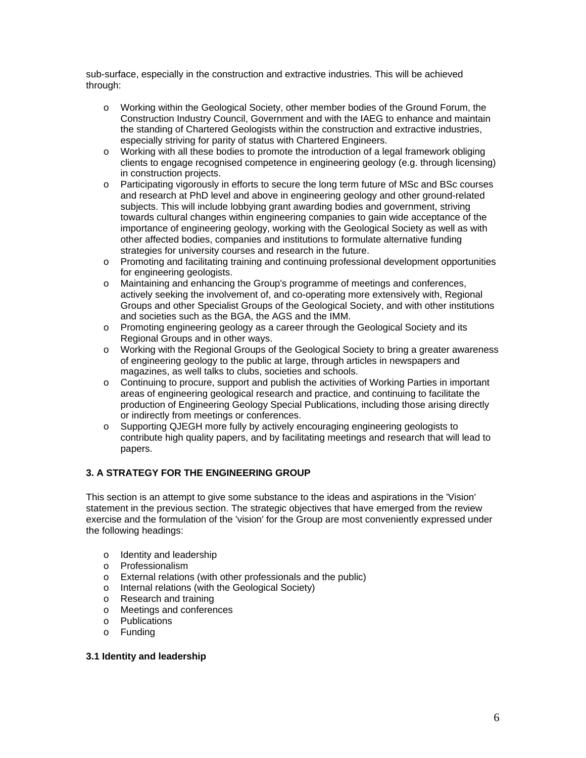sub-surface, especially in the construction and extractive industries. This will be achieved through:

- o Working within the Geological Society, other member bodies of the Ground Forum, the Construction Industry Council, Government and with the IAEG to enhance and maintain the standing of Chartered Geologists within the construction and extractive industries, especially striving for parity of status with Chartered Engineers.
- o Working with all these bodies to promote the introduction of a legal framework obliging clients to engage recognised competence in engineering geology (e.g. through licensing) in construction projects.
- o Participating vigorously in efforts to secure the long term future of MSc and BSc courses and research at PhD level and above in engineering geology and other ground-related subjects. This will include lobbying grant awarding bodies and government, striving towards cultural changes within engineering companies to gain wide acceptance of the importance of engineering geology, working with the Geological Society as well as with other affected bodies, companies and institutions to formulate alternative funding strategies for university courses and research in the future.
- o Promoting and facilitating training and continuing professional development opportunities for engineering geologists.
- o Maintaining and enhancing the Group's programme of meetings and conferences, actively seeking the involvement of, and co-operating more extensively with, Regional Groups and other Specialist Groups of the Geological Society, and with other institutions and societies such as the BGA, the AGS and the IMM.
- o Promoting engineering geology as a career through the Geological Society and its Regional Groups and in other ways.
- o Working with the Regional Groups of the Geological Society to bring a greater awareness of engineering geology to the public at large, through articles in newspapers and magazines, as well talks to clubs, societies and schools.
- o Continuing to procure, support and publish the activities of Working Parties in important areas of engineering geological research and practice, and continuing to facilitate the production of Engineering Geology Special Publications, including those arising directly or indirectly from meetings or conferences.
- o Supporting QJEGH more fully by actively encouraging engineering geologists to contribute high quality papers, and by facilitating meetings and research that will lead to papers.

# **3. A STRATEGY FOR THE ENGINEERING GROUP**

This section is an attempt to give some substance to the ideas and aspirations in the 'Vision' statement in the previous section. The strategic objectives that have emerged from the review exercise and the formulation of the 'vision' for the Group are most conveniently expressed under the following headings:

- o Identity and leadership
- o Professionalism
- o External relations (with other professionals and the public)
- o Internal relations (with the Geological Society)
- o Research and training
- o Meetings and conferences
- o Publications
- o Funding

### **3.1 Identity and leadership**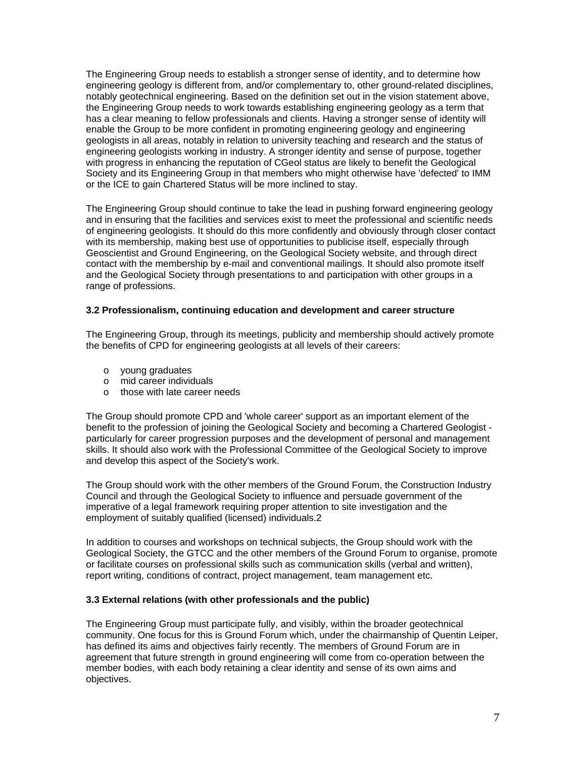The Engineering Group needs to establish a stronger sense of identity, and to determine how engineering geology is different from, and/or complementary to, other ground-related disciplines, notably geotechnical engineering. Based on the definition set out in the vision statement above, the Engineering Group needs to work towards establishing engineering geology as a term that has a clear meaning to fellow professionals and clients. Having a stronger sense of identity will enable the Group to be more confident in promoting engineering geology and engineering geologists in all areas, notably in relation to university teaching and research and the status of engineering geologists working in industry. A stronger identity and sense of purpose, together with progress in enhancing the reputation of CGeol status are likely to benefit the Geological Society and its Engineering Group in that members who might otherwise have 'defected' to IMM or the ICE to gain Chartered Status will be more inclined to stay.

The Engineering Group should continue to take the lead in pushing forward engineering geology and in ensuring that the facilities and services exist to meet the professional and scientific needs of engineering geologists. It should do this more confidently and obviously through closer contact with its membership, making best use of opportunities to publicise itself, especially through Geoscientist and Ground Engineering, on the Geological Society website, and through direct contact with the membership by e-mail and conventional mailings. It should also promote itself and the Geological Society through presentations to and participation with other groups in a range of professions.

## **3.2 Professionalism, continuing education and development and career structure**

The Engineering Group, through its meetings, publicity and membership should actively promote the benefits of CPD for engineering geologists at all levels of their careers:

- o young graduates
- o mid career individuals
- o those with late career needs

The Group should promote CPD and 'whole career' support as an important element of the benefit to the profession of joining the Geological Society and becoming a Chartered Geologist particularly for career progression purposes and the development of personal and management skills. It should also work with the Professional Committee of the Geological Society to improve and develop this aspect of the Society's work.

The Group should work with the other members of the Ground Forum, the Construction Industry Council and through the Geological Society to influence and persuade government of the imperative of a legal framework requiring proper attention to site investigation and the employment of suitably qualified (licensed) individuals.2

In addition to courses and workshops on technical subjects, the Group should work with the Geological Society, the GTCC and the other members of the Ground Forum to organise, promote or facilitate courses on professional skills such as communication skills (verbal and written), report writing, conditions of contract, project management, team management etc.

## **3.3 External relations (with other professionals and the public)**

The Engineering Group must participate fully, and visibly, within the broader geotechnical community. One focus for this is Ground Forum which, under the chairmanship of Quentin Leiper, has defined its aims and objectives fairly recently. The members of Ground Forum are in agreement that future strength in ground engineering will come from co-operation between the member bodies, with each body retaining a clear identity and sense of its own aims and objectives.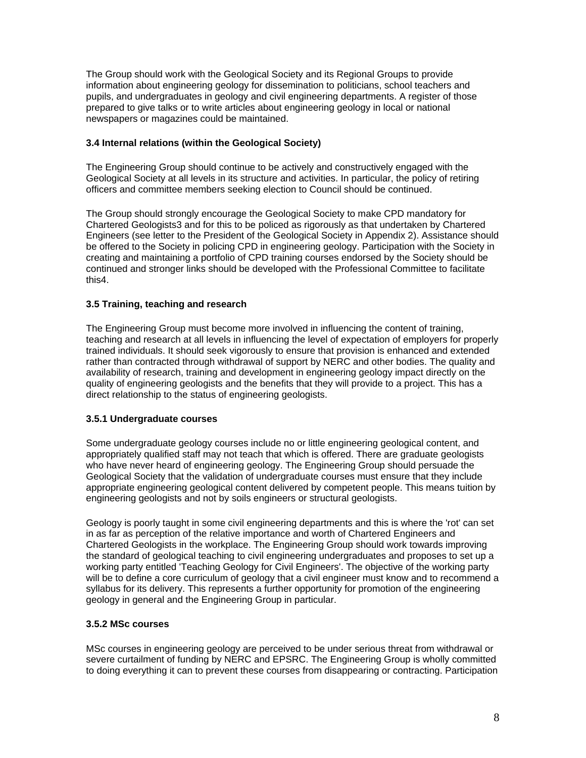The Group should work with the Geological Society and its Regional Groups to provide information about engineering geology for dissemination to politicians, school teachers and pupils, and undergraduates in geology and civil engineering departments. A register of those prepared to give talks or to write articles about engineering geology in local or national newspapers or magazines could be maintained.

# **3.4 Internal relations (within the Geological Society)**

The Engineering Group should continue to be actively and constructively engaged with the Geological Society at all levels in its structure and activities. In particular, the policy of retiring officers and committee members seeking election to Council should be continued.

The Group should strongly encourage the Geological Society to make CPD mandatory for Chartered Geologists3 and for this to be policed as rigorously as that undertaken by Chartered Engineers (see letter to the President of the Geological Society in Appendix 2). Assistance should be offered to the Society in policing CPD in engineering geology. Participation with the Society in creating and maintaining a portfolio of CPD training courses endorsed by the Society should be continued and stronger links should be developed with the Professional Committee to facilitate this4.

## **3.5 Training, teaching and research**

The Engineering Group must become more involved in influencing the content of training, teaching and research at all levels in influencing the level of expectation of employers for properly trained individuals. It should seek vigorously to ensure that provision is enhanced and extended rather than contracted through withdrawal of support by NERC and other bodies. The quality and availability of research, training and development in engineering geology impact directly on the quality of engineering geologists and the benefits that they will provide to a project. This has a direct relationship to the status of engineering geologists.

### **3.5.1 Undergraduate courses**

Some undergraduate geology courses include no or little engineering geological content, and appropriately qualified staff may not teach that which is offered. There are graduate geologists who have never heard of engineering geology. The Engineering Group should persuade the Geological Society that the validation of undergraduate courses must ensure that they include appropriate engineering geological content delivered by competent people. This means tuition by engineering geologists and not by soils engineers or structural geologists.

Geology is poorly taught in some civil engineering departments and this is where the 'rot' can set in as far as perception of the relative importance and worth of Chartered Engineers and Chartered Geologists in the workplace. The Engineering Group should work towards improving the standard of geological teaching to civil engineering undergraduates and proposes to set up a working party entitled 'Teaching Geology for Civil Engineers'. The objective of the working party will be to define a core curriculum of geology that a civil engineer must know and to recommend a syllabus for its delivery. This represents a further opportunity for promotion of the engineering geology in general and the Engineering Group in particular.

### **3.5.2 MSc courses**

MSc courses in engineering geology are perceived to be under serious threat from withdrawal or severe curtailment of funding by NERC and EPSRC. The Engineering Group is wholly committed to doing everything it can to prevent these courses from disappearing or contracting. Participation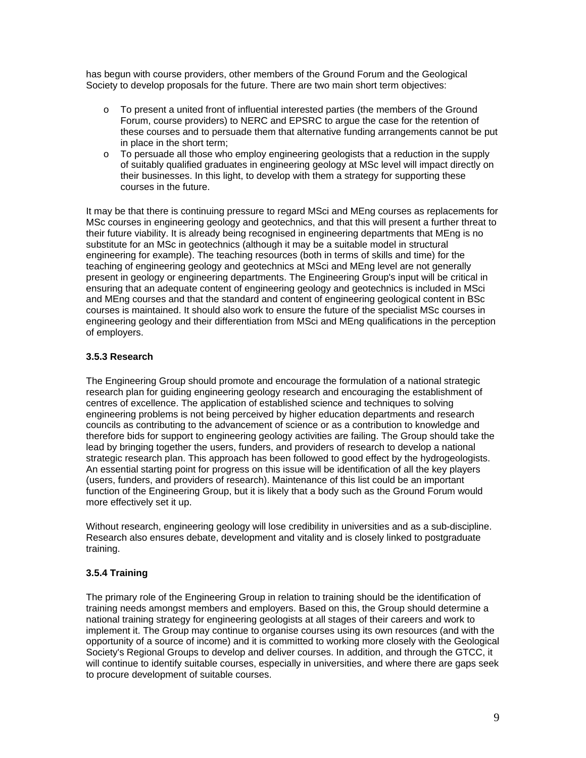has begun with course providers, other members of the Ground Forum and the Geological Society to develop proposals for the future. There are two main short term objectives:

- o To present a united front of influential interested parties (the members of the Ground Forum, course providers) to NERC and EPSRC to argue the case for the retention of these courses and to persuade them that alternative funding arrangements cannot be put in place in the short term;
- $\circ$  To persuade all those who employ engineering geologists that a reduction in the supply of suitably qualified graduates in engineering geology at MSc level will impact directly on their businesses. In this light, to develop with them a strategy for supporting these courses in the future.

It may be that there is continuing pressure to regard MSci and MEng courses as replacements for MSc courses in engineering geology and geotechnics, and that this will present a further threat to their future viability. It is already being recognised in engineering departments that MEng is no substitute for an MSc in geotechnics (although it may be a suitable model in structural engineering for example). The teaching resources (both in terms of skills and time) for the teaching of engineering geology and geotechnics at MSci and MEng level are not generally present in geology or engineering departments. The Engineering Group's input will be critical in ensuring that an adequate content of engineering geology and geotechnics is included in MSci and MEng courses and that the standard and content of engineering geological content in BSc courses is maintained. It should also work to ensure the future of the specialist MSc courses in engineering geology and their differentiation from MSci and MEng qualifications in the perception of employers.

# **3.5.3 Research**

The Engineering Group should promote and encourage the formulation of a national strategic research plan for guiding engineering geology research and encouraging the establishment of centres of excellence. The application of established science and techniques to solving engineering problems is not being perceived by higher education departments and research councils as contributing to the advancement of science or as a contribution to knowledge and therefore bids for support to engineering geology activities are failing. The Group should take the lead by bringing together the users, funders, and providers of research to develop a national strategic research plan. This approach has been followed to good effect by the hydrogeologists. An essential starting point for progress on this issue will be identification of all the key players (users, funders, and providers of research). Maintenance of this list could be an important function of the Engineering Group, but it is likely that a body such as the Ground Forum would more effectively set it up.

Without research, engineering geology will lose credibility in universities and as a sub-discipline. Research also ensures debate, development and vitality and is closely linked to postgraduate training.

# **3.5.4 Training**

The primary role of the Engineering Group in relation to training should be the identification of training needs amongst members and employers. Based on this, the Group should determine a national training strategy for engineering geologists at all stages of their careers and work to implement it. The Group may continue to organise courses using its own resources (and with the opportunity of a source of income) and it is committed to working more closely with the Geological Society's Regional Groups to develop and deliver courses. In addition, and through the GTCC, it will continue to identify suitable courses, especially in universities, and where there are gaps seek to procure development of suitable courses.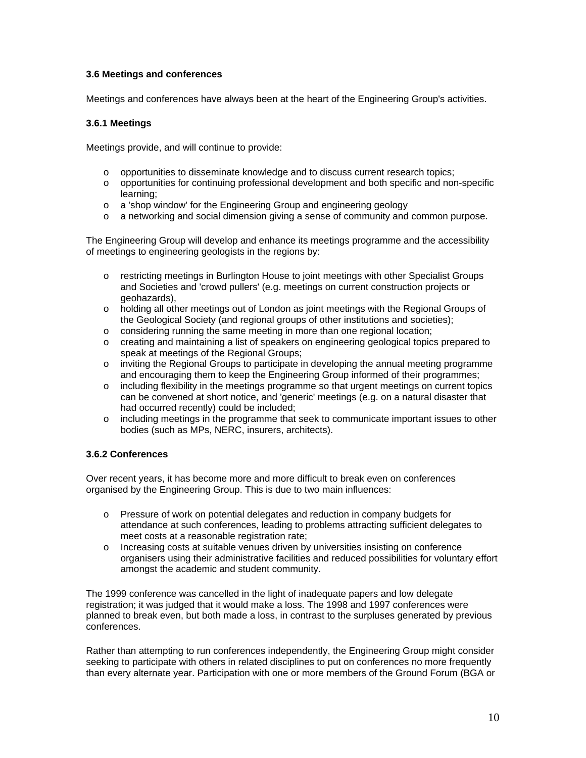# **3.6 Meetings and conferences**

Meetings and conferences have always been at the heart of the Engineering Group's activities.

# **3.6.1 Meetings**

Meetings provide, and will continue to provide:

- $\circ$  opportunities to disseminate knowledge and to discuss current research topics;
- o opportunities for continuing professional development and both specific and non-specific learning;
- o a 'shop window' for the Engineering Group and engineering geology
- o a networking and social dimension giving a sense of community and common purpose.

The Engineering Group will develop and enhance its meetings programme and the accessibility of meetings to engineering geologists in the regions by:

- o restricting meetings in Burlington House to joint meetings with other Specialist Groups and Societies and 'crowd pullers' (e.g. meetings on current construction projects or geohazards),
- o holding all other meetings out of London as joint meetings with the Regional Groups of the Geological Society (and regional groups of other institutions and societies);
- o considering running the same meeting in more than one regional location;
- o creating and maintaining a list of speakers on engineering geological topics prepared to speak at meetings of the Regional Groups;
- o inviting the Regional Groups to participate in developing the annual meeting programme and encouraging them to keep the Engineering Group informed of their programmes;
- o including flexibility in the meetings programme so that urgent meetings on current topics can be convened at short notice, and 'generic' meetings (e.g. on a natural disaster that had occurred recently) could be included;
- o including meetings in the programme that seek to communicate important issues to other bodies (such as MPs, NERC, insurers, architects).

# **3.6.2 Conferences**

Over recent years, it has become more and more difficult to break even on conferences organised by the Engineering Group. This is due to two main influences:

- o Pressure of work on potential delegates and reduction in company budgets for attendance at such conferences, leading to problems attracting sufficient delegates to meet costs at a reasonable registration rate;
- o Increasing costs at suitable venues driven by universities insisting on conference organisers using their administrative facilities and reduced possibilities for voluntary effort amongst the academic and student community.

The 1999 conference was cancelled in the light of inadequate papers and low delegate registration; it was judged that it would make a loss. The 1998 and 1997 conferences were planned to break even, but both made a loss, in contrast to the surpluses generated by previous conferences.

Rather than attempting to run conferences independently, the Engineering Group might consider seeking to participate with others in related disciplines to put on conferences no more frequently than every alternate year. Participation with one or more members of the Ground Forum (BGA or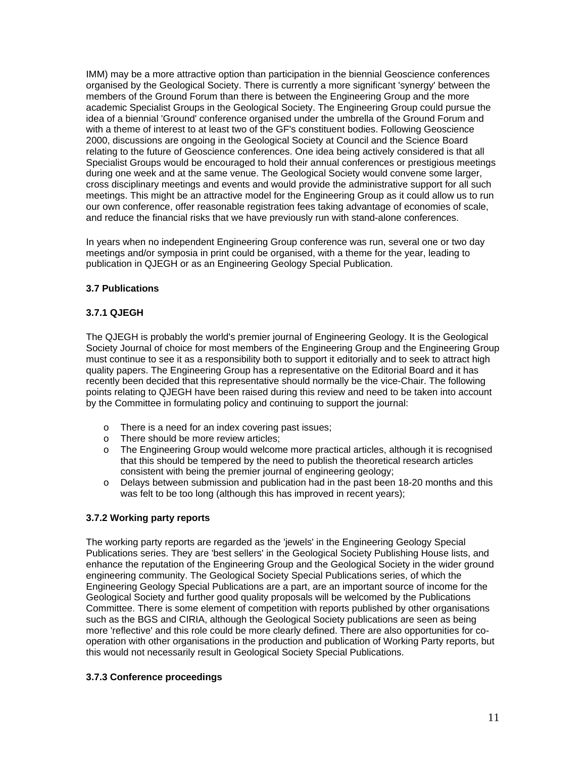IMM) may be a more attractive option than participation in the biennial Geoscience conferences organised by the Geological Society. There is currently a more significant 'synergy' between the members of the Ground Forum than there is between the Engineering Group and the more academic Specialist Groups in the Geological Society. The Engineering Group could pursue the idea of a biennial 'Ground' conference organised under the umbrella of the Ground Forum and with a theme of interest to at least two of the GF's constituent bodies. Following Geoscience 2000, discussions are ongoing in the Geological Society at Council and the Science Board relating to the future of Geoscience conferences. One idea being actively considered is that all Specialist Groups would be encouraged to hold their annual conferences or prestigious meetings during one week and at the same venue. The Geological Society would convene some larger, cross disciplinary meetings and events and would provide the administrative support for all such meetings. This might be an attractive model for the Engineering Group as it could allow us to run our own conference, offer reasonable registration fees taking advantage of economies of scale, and reduce the financial risks that we have previously run with stand-alone conferences.

In years when no independent Engineering Group conference was run, several one or two day meetings and/or symposia in print could be organised, with a theme for the year, leading to publication in QJEGH or as an Engineering Geology Special Publication.

## **3.7 Publications**

# **3.7.1 QJEGH**

The QJEGH is probably the world's premier journal of Engineering Geology. It is the Geological Society Journal of choice for most members of the Engineering Group and the Engineering Group must continue to see it as a responsibility both to support it editorially and to seek to attract high quality papers. The Engineering Group has a representative on the Editorial Board and it has recently been decided that this representative should normally be the vice-Chair. The following points relating to QJEGH have been raised during this review and need to be taken into account by the Committee in formulating policy and continuing to support the journal:

- o There is a need for an index covering past issues;<br>
o There should be more review articles:
- There should be more review articles;
- o The Engineering Group would welcome more practical articles, although it is recognised that this should be tempered by the need to publish the theoretical research articles consistent with being the premier journal of engineering geology;
- o Delays between submission and publication had in the past been 18-20 months and this was felt to be too long (although this has improved in recent years);

# **3.7.2 Working party reports**

The working party reports are regarded as the 'jewels' in the Engineering Geology Special Publications series. They are 'best sellers' in the Geological Society Publishing House lists, and enhance the reputation of the Engineering Group and the Geological Society in the wider ground engineering community. The Geological Society Special Publications series, of which the Engineering Geology Special Publications are a part, are an important source of income for the Geological Society and further good quality proposals will be welcomed by the Publications Committee. There is some element of competition with reports published by other organisations such as the BGS and CIRIA, although the Geological Society publications are seen as being more 'reflective' and this role could be more clearly defined. There are also opportunities for cooperation with other organisations in the production and publication of Working Party reports, but this would not necessarily result in Geological Society Special Publications.

# **3.7.3 Conference proceedings**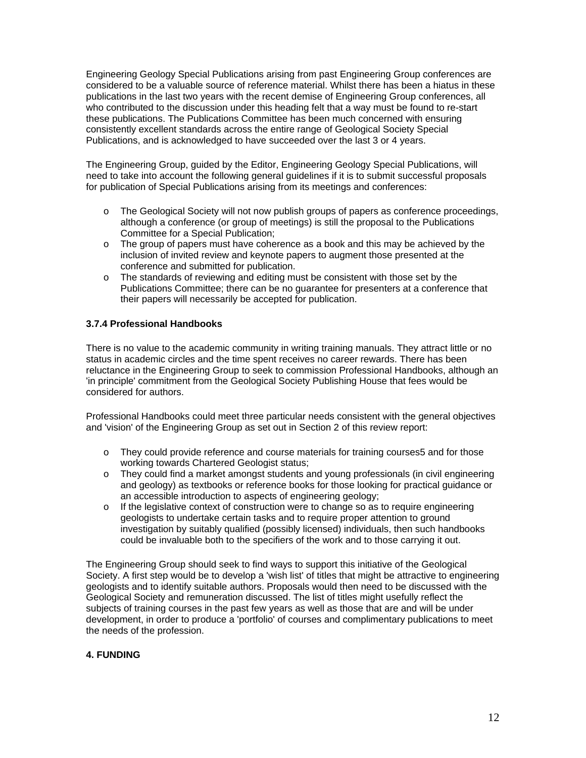Engineering Geology Special Publications arising from past Engineering Group conferences are considered to be a valuable source of reference material. Whilst there has been a hiatus in these publications in the last two years with the recent demise of Engineering Group conferences, all who contributed to the discussion under this heading felt that a way must be found to re-start these publications. The Publications Committee has been much concerned with ensuring consistently excellent standards across the entire range of Geological Society Special Publications, and is acknowledged to have succeeded over the last 3 or 4 years.

The Engineering Group, guided by the Editor, Engineering Geology Special Publications, will need to take into account the following general guidelines if it is to submit successful proposals for publication of Special Publications arising from its meetings and conferences:

- o The Geological Society will not now publish groups of papers as conference proceedings, although a conference (or group of meetings) is still the proposal to the Publications Committee for a Special Publication;
- o The group of papers must have coherence as a book and this may be achieved by the inclusion of invited review and keynote papers to augment those presented at the conference and submitted for publication.
- o The standards of reviewing and editing must be consistent with those set by the Publications Committee; there can be no guarantee for presenters at a conference that their papers will necessarily be accepted for publication.

# **3.7.4 Professional Handbooks**

There is no value to the academic community in writing training manuals. They attract little or no status in academic circles and the time spent receives no career rewards. There has been reluctance in the Engineering Group to seek to commission Professional Handbooks, although an 'in principle' commitment from the Geological Society Publishing House that fees would be considered for authors.

Professional Handbooks could meet three particular needs consistent with the general objectives and 'vision' of the Engineering Group as set out in Section 2 of this review report:

- o They could provide reference and course materials for training courses5 and for those working towards Chartered Geologist status;
- o They could find a market amongst students and young professionals (in civil engineering and geology) as textbooks or reference books for those looking for practical guidance or an accessible introduction to aspects of engineering geology;
- o If the legislative context of construction were to change so as to require engineering geologists to undertake certain tasks and to require proper attention to ground investigation by suitably qualified (possibly licensed) individuals, then such handbooks could be invaluable both to the specifiers of the work and to those carrying it out.

The Engineering Group should seek to find ways to support this initiative of the Geological Society. A first step would be to develop a 'wish list' of titles that might be attractive to engineering geologists and to identify suitable authors. Proposals would then need to be discussed with the Geological Society and remuneration discussed. The list of titles might usefully reflect the subjects of training courses in the past few years as well as those that are and will be under development, in order to produce a 'portfolio' of courses and complimentary publications to meet the needs of the profession.

# **4. FUNDING**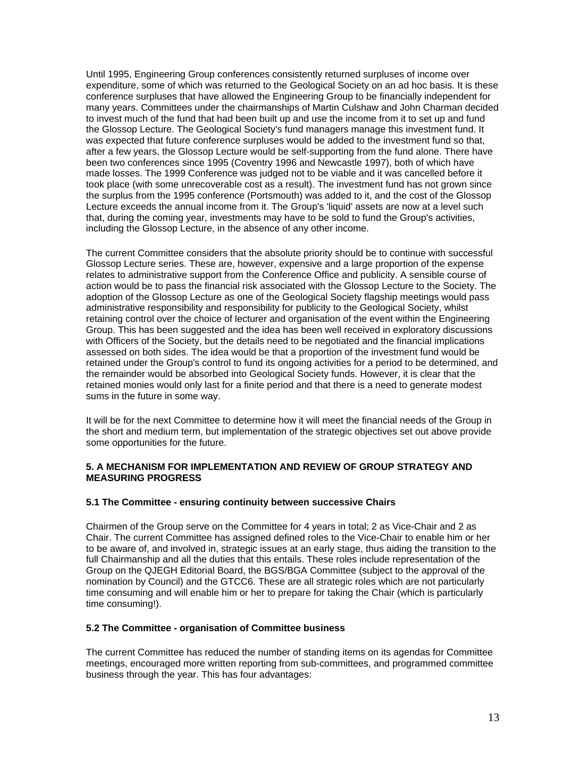Until 1995, Engineering Group conferences consistently returned surpluses of income over expenditure, some of which was returned to the Geological Society on an ad hoc basis. It is these conference surpluses that have allowed the Engineering Group to be financially independent for many years. Committees under the chairmanships of Martin Culshaw and John Charman decided to invest much of the fund that had been built up and use the income from it to set up and fund the Glossop Lecture. The Geological Society's fund managers manage this investment fund. It was expected that future conference surpluses would be added to the investment fund so that, after a few years, the Glossop Lecture would be self-supporting from the fund alone. There have been two conferences since 1995 (Coventry 1996 and Newcastle 1997), both of which have made losses. The 1999 Conference was judged not to be viable and it was cancelled before it took place (with some unrecoverable cost as a result). The investment fund has not grown since the surplus from the 1995 conference (Portsmouth) was added to it, and the cost of the Glossop Lecture exceeds the annual income from it. The Group's 'liquid' assets are now at a level such that, during the coming year, investments may have to be sold to fund the Group's activities, including the Glossop Lecture, in the absence of any other income.

The current Committee considers that the absolute priority should be to continue with successful Glossop Lecture series. These are, however, expensive and a large proportion of the expense relates to administrative support from the Conference Office and publicity. A sensible course of action would be to pass the financial risk associated with the Glossop Lecture to the Society. The adoption of the Glossop Lecture as one of the Geological Society flagship meetings would pass administrative responsibility and responsibility for publicity to the Geological Society, whilst retaining control over the choice of lecturer and organisation of the event within the Engineering Group. This has been suggested and the idea has been well received in exploratory discussions with Officers of the Society, but the details need to be negotiated and the financial implications assessed on both sides. The idea would be that a proportion of the investment fund would be retained under the Group's control to fund its ongoing activities for a period to be determined, and the remainder would be absorbed into Geological Society funds. However, it is clear that the retained monies would only last for a finite period and that there is a need to generate modest sums in the future in some way.

It will be for the next Committee to determine how it will meet the financial needs of the Group in the short and medium term, but implementation of the strategic objectives set out above provide some opportunities for the future.

## **5. A MECHANISM FOR IMPLEMENTATION AND REVIEW OF GROUP STRATEGY AND MEASURING PROGRESS**

### **5.1 The Committee - ensuring continuity between successive Chairs**

Chairmen of the Group serve on the Committee for 4 years in total; 2 as Vice-Chair and 2 as Chair. The current Committee has assigned defined roles to the Vice-Chair to enable him or her to be aware of, and involved in, strategic issues at an early stage, thus aiding the transition to the full Chairmanship and all the duties that this entails. These roles include representation of the Group on the QJEGH Editorial Board, the BGS/BGA Committee (subject to the approval of the nomination by Council) and the GTCC6. These are all strategic roles which are not particularly time consuming and will enable him or her to prepare for taking the Chair (which is particularly time consuming!).

### **5.2 The Committee - organisation of Committee business**

The current Committee has reduced the number of standing items on its agendas for Committee meetings, encouraged more written reporting from sub-committees, and programmed committee business through the year. This has four advantages: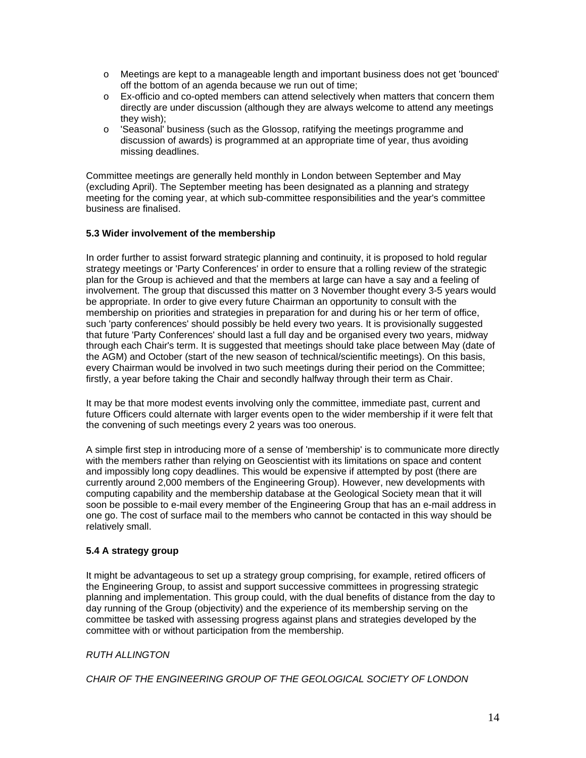- o Meetings are kept to a manageable length and important business does not get 'bounced' off the bottom of an agenda because we run out of time;
- o Ex-officio and co-opted members can attend selectively when matters that concern them directly are under discussion (although they are always welcome to attend any meetings they wish);
- o 'Seasonal' business (such as the Glossop, ratifying the meetings programme and discussion of awards) is programmed at an appropriate time of year, thus avoiding missing deadlines.

Committee meetings are generally held monthly in London between September and May (excluding April). The September meeting has been designated as a planning and strategy meeting for the coming year, at which sub-committee responsibilities and the year's committee business are finalised.

## **5.3 Wider involvement of the membership**

In order further to assist forward strategic planning and continuity, it is proposed to hold regular strategy meetings or 'Party Conferences' in order to ensure that a rolling review of the strategic plan for the Group is achieved and that the members at large can have a say and a feeling of involvement. The group that discussed this matter on 3 November thought every 3-5 years would be appropriate. In order to give every future Chairman an opportunity to consult with the membership on priorities and strategies in preparation for and during his or her term of office, such 'party conferences' should possibly be held every two years. It is provisionally suggested that future 'Party Conferences' should last a full day and be organised every two years, midway through each Chair's term. It is suggested that meetings should take place between May (date of the AGM) and October (start of the new season of technical/scientific meetings). On this basis, every Chairman would be involved in two such meetings during their period on the Committee; firstly, a year before taking the Chair and secondly halfway through their term as Chair.

It may be that more modest events involving only the committee, immediate past, current and future Officers could alternate with larger events open to the wider membership if it were felt that the convening of such meetings every 2 years was too onerous.

A simple first step in introducing more of a sense of 'membership' is to communicate more directly with the members rather than relying on Geoscientist with its limitations on space and content and impossibly long copy deadlines. This would be expensive if attempted by post (there are currently around 2,000 members of the Engineering Group). However, new developments with computing capability and the membership database at the Geological Society mean that it will soon be possible to e-mail every member of the Engineering Group that has an e-mail address in one go. The cost of surface mail to the members who cannot be contacted in this way should be relatively small.

# **5.4 A strategy group**

It might be advantageous to set up a strategy group comprising, for example, retired officers of the Engineering Group, to assist and support successive committees in progressing strategic planning and implementation. This group could, with the dual benefits of distance from the day to day running of the Group (objectivity) and the experience of its membership serving on the committee be tasked with assessing progress against plans and strategies developed by the committee with or without participation from the membership.

# *RUTH ALLINGTON*

*CHAIR OF THE ENGINEERING GROUP OF THE GEOLOGICAL SOCIETY OF LONDON*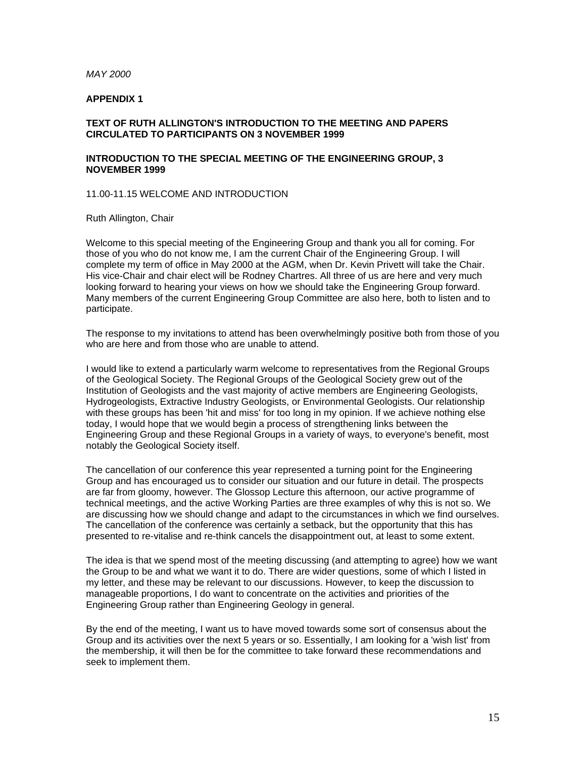#### *MAY 2000*

### **APPENDIX 1**

# **TEXT OF RUTH ALLINGTON'S INTRODUCTION TO THE MEETING AND PAPERS CIRCULATED TO PARTICIPANTS ON 3 NOVEMBER 1999**

## **INTRODUCTION TO THE SPECIAL MEETING OF THE ENGINEERING GROUP, 3 NOVEMBER 1999**

11.00-11.15 WELCOME AND INTRODUCTION

### Ruth Allington, Chair

Welcome to this special meeting of the Engineering Group and thank you all for coming. For those of you who do not know me, I am the current Chair of the Engineering Group. I will complete my term of office in May 2000 at the AGM, when Dr. Kevin Privett will take the Chair. His vice-Chair and chair elect will be Rodney Chartres. All three of us are here and very much looking forward to hearing your views on how we should take the Engineering Group forward. Many members of the current Engineering Group Committee are also here, both to listen and to participate.

The response to my invitations to attend has been overwhelmingly positive both from those of you who are here and from those who are unable to attend.

I would like to extend a particularly warm welcome to representatives from the Regional Groups of the Geological Society. The Regional Groups of the Geological Society grew out of the Institution of Geologists and the vast majority of active members are Engineering Geologists, Hydrogeologists, Extractive Industry Geologists, or Environmental Geologists. Our relationship with these groups has been 'hit and miss' for too long in my opinion. If we achieve nothing else today, I would hope that we would begin a process of strengthening links between the Engineering Group and these Regional Groups in a variety of ways, to everyone's benefit, most notably the Geological Society itself.

The cancellation of our conference this year represented a turning point for the Engineering Group and has encouraged us to consider our situation and our future in detail. The prospects are far from gloomy, however. The Glossop Lecture this afternoon, our active programme of technical meetings, and the active Working Parties are three examples of why this is not so. We are discussing how we should change and adapt to the circumstances in which we find ourselves. The cancellation of the conference was certainly a setback, but the opportunity that this has presented to re-vitalise and re-think cancels the disappointment out, at least to some extent.

The idea is that we spend most of the meeting discussing (and attempting to agree) how we want the Group to be and what we want it to do. There are wider questions, some of which I listed in my letter, and these may be relevant to our discussions. However, to keep the discussion to manageable proportions, I do want to concentrate on the activities and priorities of the Engineering Group rather than Engineering Geology in general.

By the end of the meeting, I want us to have moved towards some sort of consensus about the Group and its activities over the next 5 years or so. Essentially, I am looking for a 'wish list' from the membership, it will then be for the committee to take forward these recommendations and seek to implement them.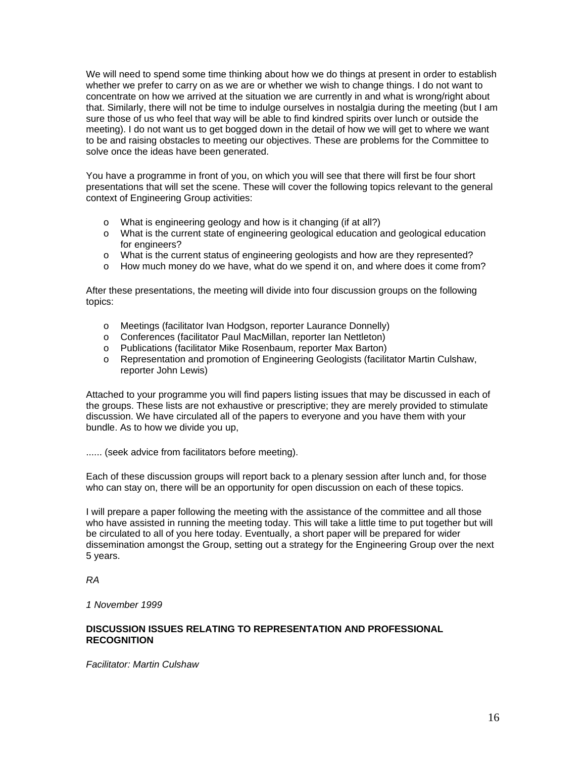We will need to spend some time thinking about how we do things at present in order to establish whether we prefer to carry on as we are or whether we wish to change things. I do not want to concentrate on how we arrived at the situation we are currently in and what is wrong/right about that. Similarly, there will not be time to indulge ourselves in nostalgia during the meeting (but I am sure those of us who feel that way will be able to find kindred spirits over lunch or outside the meeting). I do not want us to get bogged down in the detail of how we will get to where we want to be and raising obstacles to meeting our objectives. These are problems for the Committee to solve once the ideas have been generated.

You have a programme in front of you, on which you will see that there will first be four short presentations that will set the scene. These will cover the following topics relevant to the general context of Engineering Group activities:

- o What is engineering geology and how is it changing (if at all?)
- o What is the current state of engineering geological education and geological education for engineers?
- o What is the current status of engineering geologists and how are they represented?
- o How much money do we have, what do we spend it on, and where does it come from?

After these presentations, the meeting will divide into four discussion groups on the following topics:

- o Meetings (facilitator Ivan Hodgson, reporter Laurance Donnelly)
- o Conferences (facilitator Paul MacMillan, reporter Ian Nettleton)
- o Publications (facilitator Mike Rosenbaum, reporter Max Barton)
- o Representation and promotion of Engineering Geologists (facilitator Martin Culshaw, reporter John Lewis)

Attached to your programme you will find papers listing issues that may be discussed in each of the groups. These lists are not exhaustive or prescriptive; they are merely provided to stimulate discussion. We have circulated all of the papers to everyone and you have them with your bundle. As to how we divide you up,

...... (seek advice from facilitators before meeting).

Each of these discussion groups will report back to a plenary session after lunch and, for those who can stay on, there will be an opportunity for open discussion on each of these topics.

I will prepare a paper following the meeting with the assistance of the committee and all those who have assisted in running the meeting today. This will take a little time to put together but will be circulated to all of you here today. Eventually, a short paper will be prepared for wider dissemination amongst the Group, setting out a strategy for the Engineering Group over the next 5 years.

### *RA*

*1 November 1999*

### **DISCUSSION ISSUES RELATING TO REPRESENTATION AND PROFESSIONAL RECOGNITION**

*Facilitator: Martin Culshaw*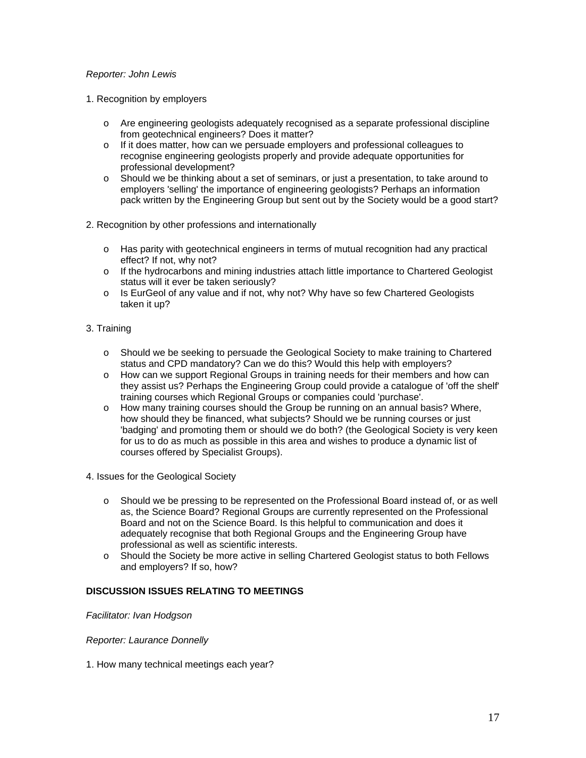# *Reporter: John Lewis*

- 1. Recognition by employers
	- o Are engineering geologists adequately recognised as a separate professional discipline from geotechnical engineers? Does it matter?
	- $\circ$  If it does matter, how can we persuade employers and professional colleagues to recognise engineering geologists properly and provide adequate opportunities for professional development?
	- $\circ$  Should we be thinking about a set of seminars, or just a presentation, to take around to employers 'selling' the importance of engineering geologists? Perhaps an information pack written by the Engineering Group but sent out by the Society would be a good start?
- 2. Recognition by other professions and internationally
	- o Has parity with geotechnical engineers in terms of mutual recognition had any practical effect? If not, why not?
	- o If the hydrocarbons and mining industries attach little importance to Chartered Geologist status will it ever be taken seriously?
	- o Is EurGeol of any value and if not, why not? Why have so few Chartered Geologists taken it up?
- 3. Training
	- o Should we be seeking to persuade the Geological Society to make training to Chartered status and CPD mandatory? Can we do this? Would this help with employers?
	- o How can we support Regional Groups in training needs for their members and how can they assist us? Perhaps the Engineering Group could provide a catalogue of 'off the shelf' training courses which Regional Groups or companies could 'purchase'.
	- o How many training courses should the Group be running on an annual basis? Where, how should they be financed, what subjects? Should we be running courses or just 'badging' and promoting them or should we do both? (the Geological Society is very keen for us to do as much as possible in this area and wishes to produce a dynamic list of courses offered by Specialist Groups).
- 4. Issues for the Geological Society
	- o Should we be pressing to be represented on the Professional Board instead of, or as well as, the Science Board? Regional Groups are currently represented on the Professional Board and not on the Science Board. Is this helpful to communication and does it adequately recognise that both Regional Groups and the Engineering Group have professional as well as scientific interests.
	- o Should the Society be more active in selling Chartered Geologist status to both Fellows and employers? If so, how?

# **DISCUSSION ISSUES RELATING TO MEETINGS**

*Facilitator: Ivan Hodgson* 

*Reporter: Laurance Donnelly*

1. How many technical meetings each year?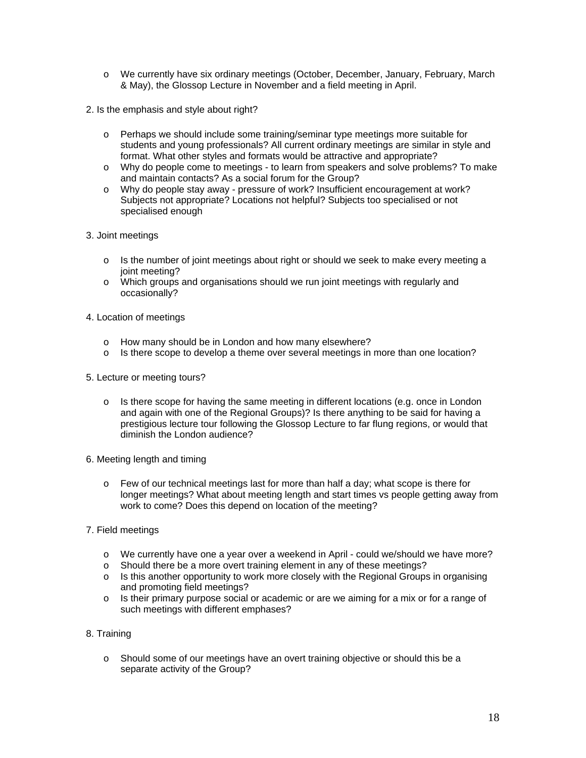- o We currently have six ordinary meetings (October, December, January, February, March & May), the Glossop Lecture in November and a field meeting in April.
- 2. Is the emphasis and style about right?
	- o Perhaps we should include some training/seminar type meetings more suitable for students and young professionals? All current ordinary meetings are similar in style and format. What other styles and formats would be attractive and appropriate?
	- o Why do people come to meetings to learn from speakers and solve problems? To make and maintain contacts? As a social forum for the Group?
	- o Why do people stay away pressure of work? Insufficient encouragement at work? Subjects not appropriate? Locations not helpful? Subjects too specialised or not specialised enough
- 3. Joint meetings
	- $\circ$  Is the number of joint meetings about right or should we seek to make every meeting a joint meeting?
	- o Which groups and organisations should we run joint meetings with regularly and occasionally?
- 4. Location of meetings
	- o How many should be in London and how many elsewhere?
	- o Is there scope to develop a theme over several meetings in more than one location?
- 5. Lecture or meeting tours?
	- o Is there scope for having the same meeting in different locations (e.g. once in London and again with one of the Regional Groups)? Is there anything to be said for having a prestigious lecture tour following the Glossop Lecture to far flung regions, or would that diminish the London audience?
- 6. Meeting length and timing
	- o Few of our technical meetings last for more than half a day; what scope is there for longer meetings? What about meeting length and start times vs people getting away from work to come? Does this depend on location of the meeting?
- 7. Field meetings
	- o We currently have one a year over a weekend in April could we/should we have more?
	- o Should there be a more overt training element in any of these meetings?
	- o Is this another opportunity to work more closely with the Regional Groups in organising and promoting field meetings?
	- $\circ$  Is their primary purpose social or academic or are we aiming for a mix or for a range of such meetings with different emphases?
- 8. Training
	- o Should some of our meetings have an overt training objective or should this be a separate activity of the Group?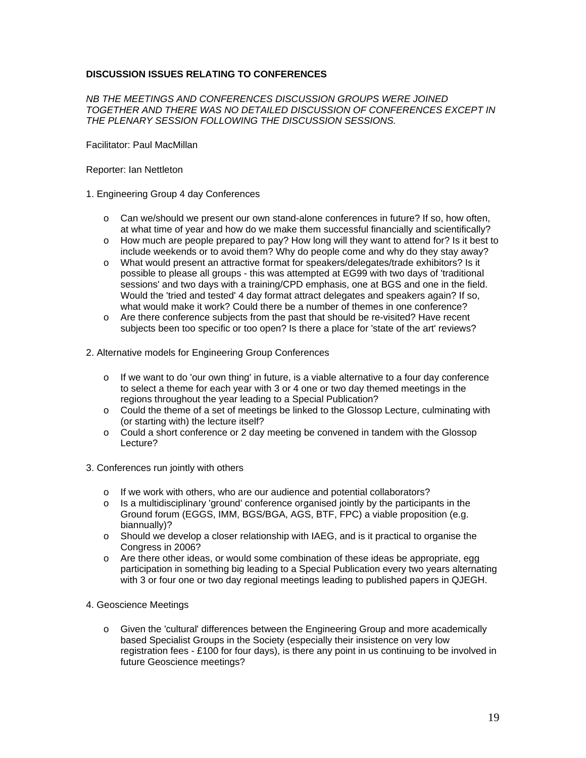# **DISCUSSION ISSUES RELATING TO CONFERENCES**

### *NB THE MEETINGS AND CONFERENCES DISCUSSION GROUPS WERE JOINED TOGETHER AND THERE WAS NO DETAILED DISCUSSION OF CONFERENCES EXCEPT IN THE PLENARY SESSION FOLLOWING THE DISCUSSION SESSIONS.*

Facilitator: Paul MacMillan

#### Reporter: Ian Nettleton

#### 1. Engineering Group 4 day Conferences

- o Can we/should we present our own stand-alone conferences in future? If so, how often, at what time of year and how do we make them successful financially and scientifically?
- o How much are people prepared to pay? How long will they want to attend for? Is it best to include weekends or to avoid them? Why do people come and why do they stay away?
- o What would present an attractive format for speakers/delegates/trade exhibitors? Is it possible to please all groups - this was attempted at EG99 with two days of 'traditional sessions' and two days with a training/CPD emphasis, one at BGS and one in the field. Would the 'tried and tested' 4 day format attract delegates and speakers again? If so, what would make it work? Could there be a number of themes in one conference?
- o Are there conference subjects from the past that should be re-visited? Have recent subjects been too specific or too open? Is there a place for 'state of the art' reviews?

## 2. Alternative models for Engineering Group Conferences

- $\circ$  If we want to do 'our own thing' in future, is a viable alternative to a four day conference to select a theme for each year with 3 or 4 one or two day themed meetings in the regions throughout the year leading to a Special Publication?
- o Could the theme of a set of meetings be linked to the Glossop Lecture, culminating with (or starting with) the lecture itself?
- $\circ$  Could a short conference or 2 day meeting be convened in tandem with the Glossop Lecture?
- 3. Conferences run jointly with others
	- o If we work with others, who are our audience and potential collaborators?
	- o Is a multidisciplinary 'ground' conference organised jointly by the participants in the Ground forum (EGGS, IMM, BGS/BGA, AGS, BTF, FPC) a viable proposition (e.g. biannually)?
	- o Should we develop a closer relationship with IAEG, and is it practical to organise the Congress in 2006?
	- $\circ$  Are there other ideas, or would some combination of these ideas be appropriate, egg participation in something big leading to a Special Publication every two years alternating with 3 or four one or two day regional meetings leading to published papers in QJEGH.
- 4. Geoscience Meetings
	- o Given the 'cultural' differences between the Engineering Group and more academically based Specialist Groups in the Society (especially their insistence on very low registration fees - £100 for four days), is there any point in us continuing to be involved in future Geoscience meetings?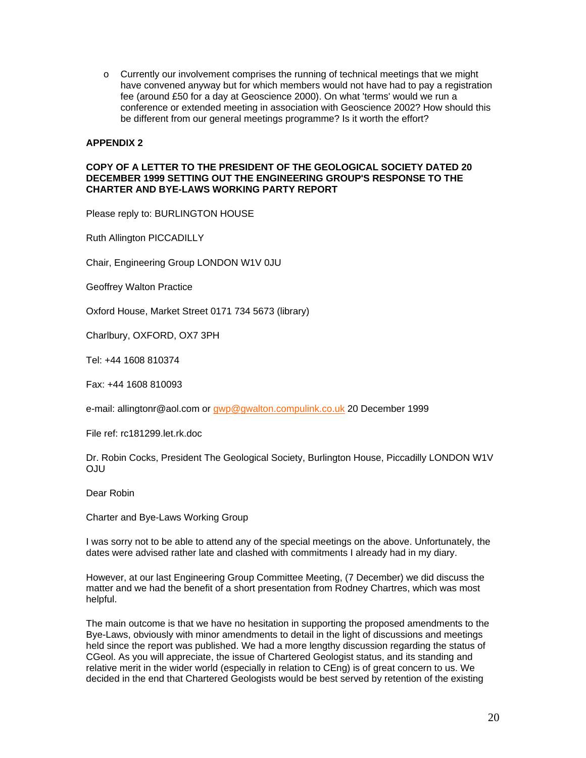$\circ$  Currently our involvement comprises the running of technical meetings that we might have convened anyway but for which members would not have had to pay a registration fee (around £50 for a day at Geoscience 2000). On what 'terms' would we run a conference or extended meeting in association with Geoscience 2002? How should this be different from our general meetings programme? Is it worth the effort?

## **APPENDIX 2**

### **COPY OF A LETTER TO THE PRESIDENT OF THE GEOLOGICAL SOCIETY DATED 20 DECEMBER 1999 SETTING OUT THE ENGINEERING GROUP'S RESPONSE TO THE CHARTER AND BYE-LAWS WORKING PARTY REPORT**

Please reply to: BURLINGTON HOUSE

Ruth Allington PICCADILLY

Chair, Engineering Group LONDON W1V 0JU

Geoffrey Walton Practice

Oxford House, Market Street 0171 734 5673 (library)

Charlbury, OXFORD, OX7 3PH

Tel: +44 1608 810374

Fax: +44 1608 810093

e-mail: allingtonr@aol.com or [gwp@gwalton.compulink.co.uk](mailto:gwp@gwalton.compulink.co.uk) 20 December 1999

File ref: rc181299.let.rk.doc

Dr. Robin Cocks, President The Geological Society, Burlington House, Piccadilly LONDON W1V OJU

Dear Robin

Charter and Bye-Laws Working Group

I was sorry not to be able to attend any of the special meetings on the above. Unfortunately, the dates were advised rather late and clashed with commitments I already had in my diary.

However, at our last Engineering Group Committee Meeting, (7 December) we did discuss the matter and we had the benefit of a short presentation from Rodney Chartres, which was most helpful.

The main outcome is that we have no hesitation in supporting the proposed amendments to the Bye-Laws, obviously with minor amendments to detail in the light of discussions and meetings held since the report was published. We had a more lengthy discussion regarding the status of CGeol. As you will appreciate, the issue of Chartered Geologist status, and its standing and relative merit in the wider world (especially in relation to CEng) is of great concern to us. We decided in the end that Chartered Geologists would be best served by retention of the existing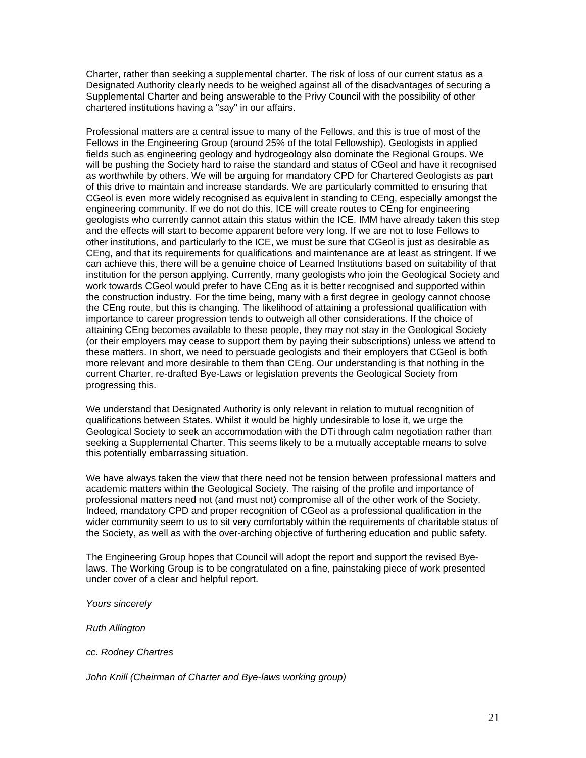Charter, rather than seeking a supplemental charter. The risk of loss of our current status as a Designated Authority clearly needs to be weighed against all of the disadvantages of securing a Supplemental Charter and being answerable to the Privy Council with the possibility of other chartered institutions having a "say" in our affairs.

Professional matters are a central issue to many of the Fellows, and this is true of most of the Fellows in the Engineering Group (around 25% of the total Fellowship). Geologists in applied fields such as engineering geology and hydrogeology also dominate the Regional Groups. We will be pushing the Society hard to raise the standard and status of CGeol and have it recognised as worthwhile by others. We will be arguing for mandatory CPD for Chartered Geologists as part of this drive to maintain and increase standards. We are particularly committed to ensuring that CGeol is even more widely recognised as equivalent in standing to CEng, especially amongst the engineering community. If we do not do this, ICE will create routes to CEng for engineering geologists who currently cannot attain this status within the ICE. IMM have already taken this step and the effects will start to become apparent before very long. If we are not to lose Fellows to other institutions, and particularly to the ICE, we must be sure that CGeol is just as desirable as CEng, and that its requirements for qualifications and maintenance are at least as stringent. If we can achieve this, there will be a genuine choice of Learned Institutions based on suitability of that institution for the person applying. Currently, many geologists who join the Geological Society and work towards CGeol would prefer to have CEng as it is better recognised and supported within the construction industry. For the time being, many with a first degree in geology cannot choose the CEng route, but this is changing. The likelihood of attaining a professional qualification with importance to career progression tends to outweigh all other considerations. If the choice of attaining CEng becomes available to these people, they may not stay in the Geological Society (or their employers may cease to support them by paying their subscriptions) unless we attend to these matters. In short, we need to persuade geologists and their employers that CGeol is both more relevant and more desirable to them than CEng. Our understanding is that nothing in the current Charter, re-drafted Bye-Laws or legislation prevents the Geological Society from progressing this.

We understand that Designated Authority is only relevant in relation to mutual recognition of qualifications between States. Whilst it would be highly undesirable to lose it, we urge the Geological Society to seek an accommodation with the DTi through calm negotiation rather than seeking a Supplemental Charter. This seems likely to be a mutually acceptable means to solve this potentially embarrassing situation.

We have always taken the view that there need not be tension between professional matters and academic matters within the Geological Society. The raising of the profile and importance of professional matters need not (and must not) compromise all of the other work of the Society. Indeed, mandatory CPD and proper recognition of CGeol as a professional qualification in the wider community seem to us to sit very comfortably within the requirements of charitable status of the Society, as well as with the over-arching objective of furthering education and public safety.

The Engineering Group hopes that Council will adopt the report and support the revised Byelaws. The Working Group is to be congratulated on a fine, painstaking piece of work presented under cover of a clear and helpful report.

*Yours sincerely*

*Ruth Allington*

*cc. Rodney Chartres*

*John Knill (Chairman of Charter and Bye-laws working group)*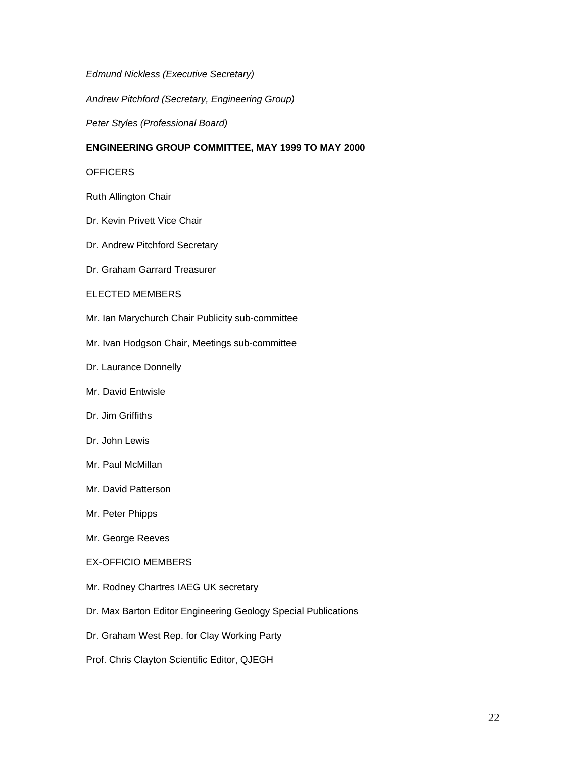*Edmund Nickless (Executive Secretary)*

*Andrew Pitchford (Secretary, Engineering Group)*

*Peter Styles (Professional Board)*

# **ENGINEERING GROUP COMMITTEE, MAY 1999 TO MAY 2000**

## **OFFICERS**

Ruth Allington Chair

- Dr. Kevin Privett Vice Chair
- Dr. Andrew Pitchford Secretary
- Dr. Graham Garrard Treasurer

## ELECTED MEMBERS

- Mr. Ian Marychurch Chair Publicity sub-committee
- Mr. Ivan Hodgson Chair, Meetings sub-committee
- Dr. Laurance Donnelly
- Mr. David Entwisle
- Dr. Jim Griffiths
- Dr. John Lewis
- Mr. Paul McMillan
- Mr. David Patterson
- Mr. Peter Phipps
- Mr. George Reeves
- EX-OFFICIO MEMBERS
- Mr. Rodney Chartres IAEG UK secretary
- Dr. Max Barton Editor Engineering Geology Special Publications
- Dr. Graham West Rep. for Clay Working Party
- Prof. Chris Clayton Scientific Editor, QJEGH